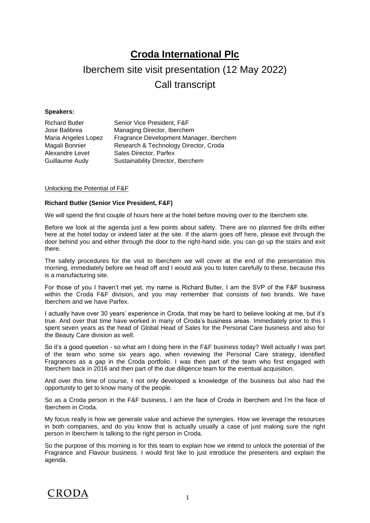## **Croda International Plc**

# Iberchem site visit presentation (12 May 2022) Call transcript

## **Speakers:**

| <b>Richard Butler</b> | Senior Vice President, F&F              |
|-----------------------|-----------------------------------------|
| Jose Balibrea         | Managing Director, Iberchem             |
| Maria Angeles Lopez   | Fragrance Development Manager, Iberchem |
| Magali Bonnier        | Research & Technology Director, Croda   |
| Alexandre Levet       | Sales Director, Parfex                  |
| Guillaume Audy        | Sustainability Director, Iberchem       |
|                       |                                         |

## Unlocking the Potential of F&F

## **Richard Butler (Senior Vice President, F&F)**

We will spend the first couple of hours here at the hotel before moving over to the Iberchem site.

Before we look at the agenda just a few points about safety. There are no planned fire drills either here at the hotel today or indeed later at the site. If the alarm goes off here, please exit through the door behind you and either through the door to the right-hand side, you can go up the stairs and exit there.

The safety procedures for the visit to Iberchem we will cover at the end of the presentation this morning, immediately before we head off and I would ask you to listen carefully to these, because this is a manufacturing site.

For those of you I haven't met yet, my name is Richard Butler, I am the SVP of the F&F business within the Croda F&F division, and you may remember that consists of two brands. We have Iberchem and we have Parfex.

I actually have over 30 years' experience in Croda, that may be hard to believe looking at me, but it's true. And over that time have worked in many of Croda's business areas. Immediately prior to this I spent seven years as the head of Global Head of Sales for the Personal Care business and also for the Beauty Care division as well.

So it's a good question - so what am I doing here in the F&F business today? Well actually I was part of the team who some six years ago, when reviewing the Personal Care strategy, identified Fragrances as a gap in the Croda portfolio. I was then part of the team who first engaged with Iberchem back in 2016 and then part of the due diligence team for the eventual acquisition.

And over this time of course, I not only developed a knowledge of the business but also had the opportunity to get to know many of the people.

So as a Croda person in the F&F business, I am the face of Croda in Iberchem and I'm the face of Iberchem in Croda.

My focus really is how we generate value and achieve the synergies. How we leverage the resources in both companies, and do you know that is actually usually a case of just making sure the right person in Iberchem is talking to the right person in Croda.

So the purpose of this morning is for this team to explain how we intend to unlock the potential of the Fragrance and Flavour business. I would first like to just introduce the presenters and explain the agenda.

## CRODA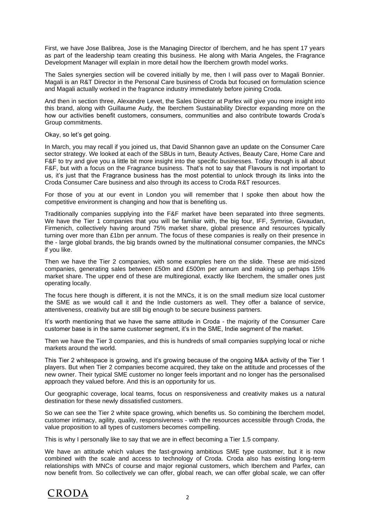First, we have Jose Balibrea, Jose is the Managing Director of Iberchem, and he has spent 17 years as part of the leadership team creating this business. He along with Maria Angeles, the Fragrance Development Manager will explain in more detail how the Iberchem growth model works.

The Sales synergies section will be covered initially by me, then I will pass over to Magali Bonnier. Magali is an R&T Director in the Personal Care business of Croda but focused on formulation science and Magali actually worked in the fragrance industry immediately before joining Croda.

And then in section three, Alexandre Levet, the Sales Director at Parfex will give you more insight into this brand, along with Guillaume Audy, the Iberchem Sustainability Director expanding more on the how our activities benefit customers, consumers, communities and also contribute towards Croda's Group commitments.

Okay, so let's get going.

In March, you may recall if you joined us, that David Shannon gave an update on the Consumer Care sector strategy. We looked at each of the SBUs in turn, Beauty Actives, Beauty Care, Home Care and F&F to try and give you a little bit more insight into the specific businesses. Today though is all about F&F, but with a focus on the Fragrance business. That's not to say that Flavours is not important to us, it's just that the Fragrance business has the most potential to unlock through its links into the Croda Consumer Care business and also through its access to Croda R&T resources.

For those of you at our event in London you will remember that I spoke then about how the competitive environment is changing and how that is benefiting us.

Traditionally companies supplying into the F&F market have been separated into three segments. We have the Tier 1 companies that you will be familiar with, the big four, IFF, Symrise, Givaudan, Firmenich, collectively having around 75% market share, global presence and resources typically turning over more than £1bn per annum. The focus of these companies is really on their presence in the - large global brands, the big brands owned by the multinational consumer companies, the MNCs if you like.

Then we have the Tier 2 companies, with some examples here on the slide. These are mid-sized companies, generating sales between £50m and £500m per annum and making up perhaps 15% market share. The upper end of these are multiregional, exactly like Iberchem, the smaller ones just operating locally.

The focus here though is different, it is not the MNCs, it is on the small medium size local customer the SME as we would call it and the Indie customers as well. They offer a balance of service, attentiveness, creativity but are still big enough to be secure business partners.

It's worth mentioning that we have the same attitude in Croda - the majority of the Consumer Care customer base is in the same customer segment, it's in the SME, Indie segment of the market.

Then we have the Tier 3 companies, and this is hundreds of small companies supplying local or niche markets around the world.

This Tier 2 whitespace is growing, and it's growing because of the ongoing M&A activity of the Tier 1 players. But when Tier 2 companies become acquired, they take on the attitude and processes of the new owner. Their typical SME customer no longer feels important and no longer has the personalised approach they valued before. And this is an opportunity for us.

Our geographic coverage, local teams, focus on responsiveness and creativity makes us a natural destination for these newly dissatisfied customers.

So we can see the Tier 2 white space growing, which benefits us. So combining the Iberchem model, customer intimacy, agility, quality, responsiveness - with the resources accessible through Croda, the value proposition to all types of customers becomes compelling.

This is why I personally like to say that we are in effect becoming a Tier 1.5 company.

We have an attitude which values the fast-growing ambitious SME type customer, but it is now combined with the scale and access to technology of Croda. Croda also has existing long-term relationships with MNCs of course and major regional customers, which Iberchem and Parfex, can now benefit from. So collectively we can offer, global reach, we can offer global scale, we can offer

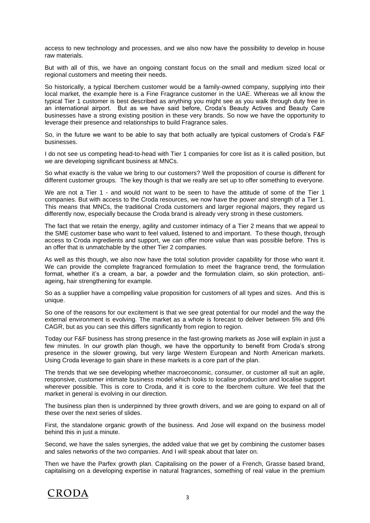access to new technology and processes, and we also now have the possibility to develop in house raw materials.

But with all of this, we have an ongoing constant focus on the small and medium sized local or regional customers and meeting their needs.

So historically, a typical Iberchem customer would be a family-owned company, supplying into their local market, the example here is a Fine Fragrance customer in the UAE. Whereas we all know the typical Tier 1 customer is best described as anything you might see as you walk through duty free in an international airport. But as we have said before, Croda's Beauty Actives and Beauty Care businesses have a strong existing position in these very brands. So now we have the opportunity to leverage their presence and relationships to build Fragrance sales.

So, in the future we want to be able to say that both actually are typical customers of Croda's F&F businesses.

I do not see us competing head-to-head with Tier 1 companies for core list as it is called position, but we are developing significant business at MNCs.

So what exactly is the value we bring to our customers? Well the proposition of course is different for different customer groups. The key though is that we really are set up to offer something to everyone.

We are not a Tier 1 - and would not want to be seen to have the attitude of some of the Tier 1 companies. But with access to the Croda resources, we now have the power and strength of a Tier 1. This means that MNCs, the traditional Croda customers and larger regional majors, they regard us differently now, especially because the Croda brand is already very strong in these customers.

The fact that we retain the energy, agility and customer intimacy of a Tier 2 means that we appeal to the SME customer base who want to feel valued, listened to and important. To these though, through access to Croda ingredients and support, we can offer more value than was possible before. This is an offer that is unmatchable by the other Tier 2 companies.

As well as this though, we also now have the total solution provider capability for those who want it. We can provide the complete fragranced formulation to meet the fragrance trend, the formulation format, whether it's a cream, a bar, a powder and the formulation claim, so skin protection, antiageing, hair strengthening for example.

So as a supplier have a compelling value proposition for customers of all types and sizes. And this is unique.

So one of the reasons for our excitement is that we see great potential for our model and the way the external environment is evolving. The market as a whole is forecast to deliver between 5% and 6% CAGR, but as you can see this differs significantly from region to region.

Today our F&F business has strong presence in the fast-growing markets as Jose will explain in just a few minutes. In our growth plan though, we have the opportunity to benefit from Croda's strong presence in the slower growing, but very large Western European and North American markets. Using Croda leverage to gain share in these markets is a core part of the plan.

The trends that we see developing whether macroeconomic, consumer, or customer all suit an agile, responsive, customer intimate business model which looks to localise production and localise support wherever possible. This is core to Croda, and it is core to the Iberchem culture. We feel that the market in general is evolving in our direction.

The business plan then is underpinned by three growth drivers, and we are going to expand on all of these over the next series of slides.

First, the standalone organic growth of the business. And Jose will expand on the business model behind this in just a minute.

Second, we have the sales synergies, the added value that we get by combining the customer bases and sales networks of the two companies. And I will speak about that later on.

Then we have the Parfex growth plan. Capitalising on the power of a French, Grasse based brand, capitalising on a developing expertise in natural fragrances, something of real value in the premium

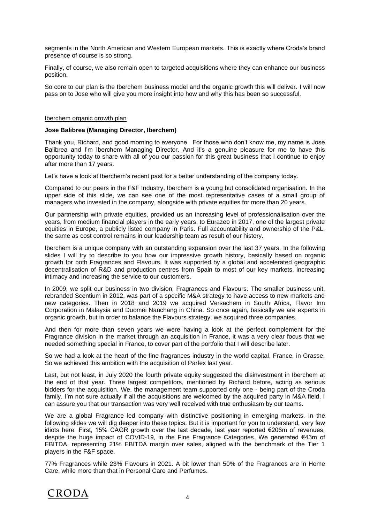segments in the North American and Western European markets. This is exactly where Croda's brand presence of course is so strong.

Finally, of course, we also remain open to targeted acquisitions where they can enhance our business position.

So core to our plan is the Iberchem business model and the organic growth this will deliver. I will now pass on to Jose who will give you more insight into how and why this has been so successful.

## Iberchem organic growth plan

## **Jose Balibrea (Managing Director, Iberchem)**

Thank you, Richard, and good morning to everyone. For those who don't know me, my name is Jose Balibrea and I'm Iberchem Managing Director. And it's a genuine pleasure for me to have this opportunity today to share with all of you our passion for this great business that I continue to enjoy after more than 17 years.

Let's have a look at Iberchem's recent past for a better understanding of the company today.

Compared to our peers in the F&F Industry, Iberchem is a young but consolidated organisation. In the upper side of this slide, we can see one of the most representative cases of a small group of managers who invested in the company, alongside with private equities for more than 20 years.

Our partnership with private equities, provided us an increasing level of professionalisation over the years, from medium financial players in the early years, to Eurazeo in 2017, one of the largest private equities in Europe, a publicly listed company in Paris. Full accountability and ownership of the P&L, the same as cost control remains in our leadership team as result of our history.

Iberchem is a unique company with an outstanding expansion over the last 37 years. In the following slides I will try to describe to you how our impressive growth history, basically based on organic growth for both Fragrances and Flavours. It was supported by a global and accelerated geographic decentralisation of R&D and production centres from Spain to most of our key markets, increasing intimacy and increasing the service to our customers.

In 2009, we split our business in two division, Fragrances and Flavours. The smaller business unit, rebranded Scentium in 2012, was part of a specific M&A strategy to have access to new markets and new categories. Then in 2018 and 2019 we acquired Versachem in South Africa, Flavor Inn Corporation in Malaysia and Duomei Nanchang in China. So once again, basically we are experts in organic growth, but in order to balance the Flavours strategy, we acquired three companies.

And then for more than seven years we were having a look at the perfect complement for the Fragrance division in the market through an acquisition in France, it was a very clear focus that we needed something special in France, to cover part of the portfolio that I will describe later.

So we had a look at the heart of the fine fragrances industry in the world capital, France, in Grasse. So we achieved this ambition with the acquisition of Parfex last year.

Last, but not least, in July 2020 the fourth private equity suggested the disinvestment in Iberchem at the end of that year. Three largest competitors, mentioned by Richard before, acting as serious bidders for the acquisition. We, the management team supported only one - being part of the Croda family. I'm not sure actually if all the acquisitions are welcomed by the acquired party in M&A field, I can assure you that our transaction was very well received with true enthusiasm by our teams.

We are a global Fragrance led company with distinctive positioning in emerging markets. In the following slides we will dig deeper into these topics. But it is important for you to understand, very few idiots here. First, 15% CAGR growth over the last decade, last year reported €206m of revenues, despite the huge impact of COVID-19, in the Fine Fragrance Categories. We generated €43m of EBITDA, representing 21% EBITDA margin over sales, aligned with the benchmark of the Tier 1 players in the F&F space.

77% Fragrances while 23% Flavours in 2021. A bit lower than 50% of the Fragrances are in Home Care, while more than that in Personal Care and Perfumes.

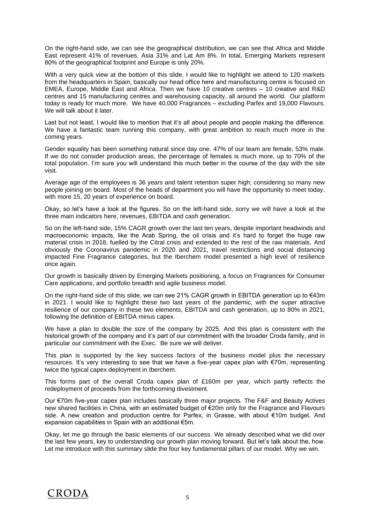On the right-hand side, we can see the geographical distribution, we can see that Africa and Middle East represent 41% of revenues, Asia 31% and Lat Am 8%. In total, Emerging Markets represent 80% of the geographical footprint and Europe is only 20%.

With a very quick view at the bottom of this slide, I would like to highlight we attend to 120 markets from the headquarters in Spain, basically our head office here and manufacturing centre is focused on EMEA, Europe, Middle East and Africa. Then we have 10 creative centres – 10 creative and R&D centres and 15 manufacturing centres and warehousing capacity, all around the world. Our platform today is ready for much more. We have 40,000 Fragrances – excluding Parfex and 19,000 Flavours. We will talk about it later.

Last but not least, I would like to mention that it's all about people and people making the difference. We have a fantastic team running this company, with great ambition to reach much more in the coming years.

Gender equality has been something natural since day one. 47% of our team are female, 53% male. If we do not consider production areas, the percentage of females is much more, up to 70% of the total population. I'm sure you will understand this much better in the course of the day with the site visit.

Average age of the employees is 36 years and talent retention super high; considering so many new people joining on board. Most of the heads of department you will have the opportunity to meet today, with more 15, 20 years of experience on board.

Okay, so let's have a look at the figures. So on the left-hand side, sorry we will have a look at the three main indicators here, revenues, EBITDA and cash generation.

So on the left-hand side, 15% CAGR growth over the last ten years, despite important headwinds and macroeconomic impacts, like the Arab Spring, the oil crisis and it's hard to forget the huge raw material crisis in 2018, fuelled by the Citral crisis and extended to the rest of the raw materials. And obviously the Coronavirus pandemic in 2020 and 2021, travel restrictions and social distancing impacted Fine Fragrance categories, but the Iberchem model presented a high level of resilience once again.

Our growth is basically driven by Emerging Markets positioning, a focus on Fragrances for Consumer Care applications, and portfolio breadth and agile business model.

On the right-hand side of this slide, we can see 21% CAGR growth in EBITDA generation up to €43m in 2021. I would like to highlight these two last years of the pandemic, with the super attractive resilience of our company in these two elements, EBITDA and cash generation, up to 80% in 2021, following the definition of EBITDA minus capex.

We have a plan to double the size of the company by 2025. And this plan is consistent with the historical growth of the company and it's part of our commitment with the broader Croda family, and in particular our commitment with the Exec. Be sure we will deliver.

This plan is supported by the key success factors of the business model plus the necessary resources. It's very interesting to see that we have a five-year capex plan with €70m, representing twice the typical capex deployment in Iberchem.

This forms part of the overall Croda capex plan of £160m per year, which partly reflects the redeployment of proceeds from the forthcoming divestment.

Our €70m five-year capex plan includes basically three major projects. The F&F and Beauty Actives new shared facilities in China, with an estimated budget of €20m only for the Fragrance and Flavours side. A new creation and production centre for Parfex, in Grasse, with about €10m budget. And expansion capabilities in Spain with an additional €5m.

Okay, let me go through the basic elements of our success. We already described what we did over the last few years, key to understanding our growth plan moving forward. But let's talk about the, how. Let me introduce with this summary slide the four key fundamental pillars of our model. Why we win.

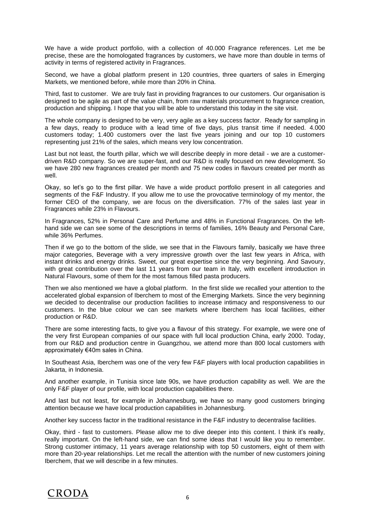We have a wide product portfolio, with a collection of 40.000 Fragrance references. Let me be precise, these are the homologated fragrances by customers, we have more than double in terms of activity in terms of registered activity in Fragrances.

Second, we have a global platform present in 120 countries, three quarters of sales in Emerging Markets, we mentioned before, while more than 20% in China.

Third, fast to customer. We are truly fast in providing fragrances to our customers. Our organisation is designed to be agile as part of the value chain, from raw materials procurement to fragrance creation, production and shipping. I hope that you will be able to understand this today in the site visit.

The whole company is designed to be very, very agile as a key success factor. Ready for sampling in a few days, ready to produce with a lead time of five days, plus transit time if needed. 4.000 customers today; 1.400 customers over the last five years joining and our top 10 customers representing just 21% of the sales, which means very low concentration.

Last but not least, the fourth pillar, which we will describe deeply in more detail - we are a customerdriven R&D company. So we are super-fast, and our R&D is really focused on new development. So we have 280 new fragrances created per month and 75 new codes in flavours created per month as well.

Okay, so let's go to the first pillar. We have a wide product portfolio present in all categories and segments of the F&F Industry. If you allow me to use the provocative terminology of my mentor, the former CEO of the company, we are focus on the diversification. 77% of the sales last year in Fragrances while 23% in Flavours.

In Fragrances, 52% in Personal Care and Perfume and 48% in Functional Fragrances. On the lefthand side we can see some of the descriptions in terms of families, 16% Beauty and Personal Care, while 36% Perfumes.

Then if we go to the bottom of the slide, we see that in the Flavours family, basically we have three major categories, Beverage with a very impressive growth over the last few years in Africa, with instant drinks and energy drinks. Sweet, our great expertise since the very beginning. And Savoury, with great contribution over the last 11 years from our team in Italy, with excellent introduction in Natural Flavours, some of them for the most famous filled pasta producers.

Then we also mentioned we have a global platform. In the first slide we recalled your attention to the accelerated global expansion of Iberchem to most of the Emerging Markets. Since the very beginning we decided to decentralise our production facilities to increase intimacy and responsiveness to our customers. In the blue colour we can see markets where Iberchem has local facilities, either production or R&D.

There are some interesting facts, to give you a flavour of this strategy. For example, we were one of the very first European companies of our space with full local production China, early 2000. Today, from our R&D and production centre in Guangzhou, we attend more than 800 local customers with approximately €40m sales in China.

In Southeast Asia, Iberchem was one of the very few F&F players with local production capabilities in Jakarta, in Indonesia.

And another example, in Tunisia since late 90s, we have production capability as well. We are the only F&F player of our profile, with local production capabilities there.

And last but not least, for example in Johannesburg, we have so many good customers bringing attention because we have local production capabilities in Johannesburg.

Another key success factor in the traditional resistance in the F&F industry to decentralise facilities.

Okay, third - fast to customers. Please allow me to dive deeper into this content. I think it's really, really important. On the left-hand side, we can find some ideas that I would like you to remember. Strong customer intimacy, 11 years average relationship with top 50 customers, eight of them with more than 20-year relationships. Let me recall the attention with the number of new customers joining Iberchem, that we will describe in a few minutes.

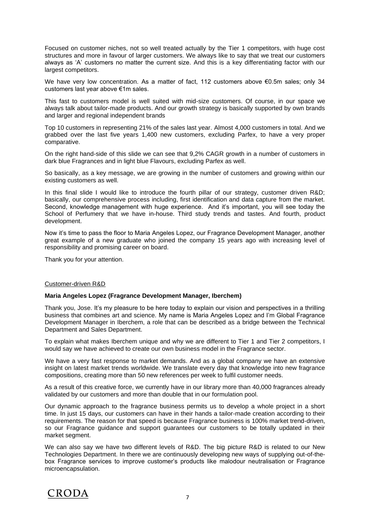Focused on customer niches, not so well treated actually by the Tier 1 competitors, with huge cost structures and more in favour of larger customers. We always like to say that we treat our customers always as 'A' customers no matter the current size. And this is a key differentiating factor with our largest competitors.

We have very low concentration. As a matter of fact, 112 customers above €0.5m sales; only 34 customers last year above €1m sales.

This fast to customers model is well suited with mid-size customers. Of course, in our space we always talk about tailor-made products. And our growth strategy is basically supported by own brands and larger and regional independent brands

Top 10 customers in representing 21% of the sales last year. Almost 4,000 customers in total. And we grabbed over the last five years 1,400 new customers, excluding Parfex, to have a very proper comparative.

On the right hand-side of this slide we can see that 9,2% CAGR growth in a number of customers in dark blue Fragrances and in light blue Flavours, excluding Parfex as well.

So basically, as a key message, we are growing in the number of customers and growing within our existing customers as well.

In this final slide I would like to introduce the fourth pillar of our strategy, customer driven R&D; basically, our comprehensive process including, first identification and data capture from the market. Second, knowledge management with huge experience. And it's important, you will see today the School of Perfumery that we have in-house. Third study trends and tastes. And fourth, product development.

Now it's time to pass the floor to Maria Angeles Lopez, our Fragrance Development Manager, another great example of a new graduate who joined the company 15 years ago with increasing level of responsibility and promising career on board.

Thank you for your attention.

#### Customer-driven R&D

## **Maria Angeles Lopez (Fragrance Development Manager, Iberchem)**

Thank you, Jose. It's my pleasure to be here today to explain our vision and perspectives in a thrilling business that combines art and science. My name is Maria Angeles Lopez and I'm Global Fragrance Development Manager in Iberchem, a role that can be described as a bridge between the Technical Department and Sales Department.

To explain what makes Iberchem unique and why we are different to Tier 1 and Tier 2 competitors, I would say we have achieved to create our own business model in the Fragrance sector.

We have a very fast response to market demands. And as a global company we have an extensive insight on latest market trends worldwide. We translate every day that knowledge into new fragrance compositions, creating more than 50 new references per week to fulfil customer needs.

As a result of this creative force, we currently have in our library more than 40,000 fragrances already validated by our customers and more than double that in our formulation pool.

Our dynamic approach to the fragrance business permits us to develop a whole project in a short time. In just 15 days, our customers can have in their hands a tailor-made creation according to their requirements. The reason for that speed is because Fragrance business is 100% market trend-driven, so our Fragrance guidance and support guarantees our customers to be totally updated in their market segment.

We can also say we have two different levels of R&D. The big picture R&D is related to our New Technologies Department. In there we are continuously developing new ways of supplying out-of-thebox Fragrance services to improve customer's products like malodour neutralisation or Fragrance microencapsulation.

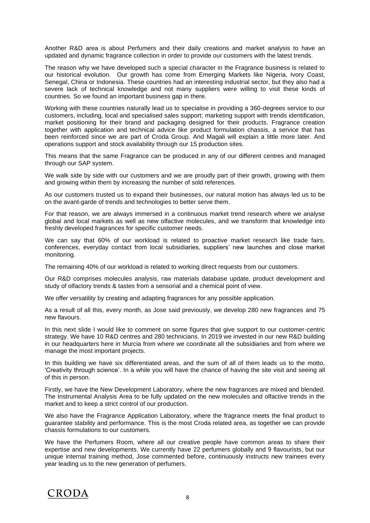Another R&D area is about Perfumers and their daily creations and market analysis to have an updated and dynamic fragrance collection in order to provide our customers with the latest trends.

The reason why we have developed such a special character in the Fragrance business is related to our historical evolution. Our growth has come from Emerging Markets like Nigeria, Ivory Coast, Senegal, China or Indonesia. These countries had an interesting industrial sector, but they also had a severe lack of technical knowledge and not many suppliers were willing to visit these kinds of countries. So we found an important business gap in there.

Working with these countries naturally lead us to specialise in providing a 360-degrees service to our customers, including, local and specialised sales support; marketing support with trends identification, market positioning for their brand and packaging designed for their products. Fragrance creation together with application and technical advice like product formulation chassis, a service that has been reinforced since we are part of Croda Group. And Magali will explain a little more later. And operations support and stock availability through our 15 production sites.

This means that the same Fragrance can be produced in any of our different centres and managed through our SAP system.

We walk side by side with our customers and we are proudly part of their growth, growing with them and growing within them by increasing the number of sold references.

As our customers trusted us to expand their businesses, our natural motion has always led us to be on the avant-garde of trends and technologies to better serve them.

For that reason, we are always immersed in a continuous market trend research where we analyse global and local markets as well as new olfactive molecules, and we transform that knowledge into freshly developed fragrances for specific customer needs.

We can say that 60% of our workload is related to proactive market research like trade fairs, conferences, everyday contact from local subsidiaries, suppliers' new launches and close market monitoring.

The remaining 40% of our workload is related to working direct requests from our customers.

Our R&D comprises molecules analysis, raw materials database update, product development and study of olfactory trends & tastes from a sensorial and a chemical point of view.

We offer versatility by creating and adapting fragrances for any possible application.

As a result of all this, every month, as Jose said previously, we develop 280 new fragrances and 75 new flavours.

In this next slide I would like to comment on some figures that give support to our customer-centric strategy. We have 10 R&D centres and 280 technicians. In 2019 we invested in our new R&D building in our headquarters here in Murcia from where we coordinate all the subsidiaries and from where we manage the most important projects.

In this building we have six differentiated areas, and the sum of all of them leads us to the motto, 'Creativity through science'. In a while you will have the chance of having the site visit and seeing all of this in person.

Firstly, we have the New Development Laboratory, where the new fragrances are mixed and blended. The Instrumental Analysis Area to be fully updated on the new molecules and olfactive trends in the market and to keep a strict control of our production.

We also have the Fragrance Application Laboratory, where the fragrance meets the final product to guarantee stability and performance. This is the most Croda related area, as together we can provide chassis formulations to our customers.

We have the Perfumers Room, where all our creative people have common areas to share their expertise and new developments. We currently have 22 perfumers globally and 9 flavourists, but our unique internal training method, Jose commented before, continuously instructs new trainees every year leading us to the new generation of perfumers.

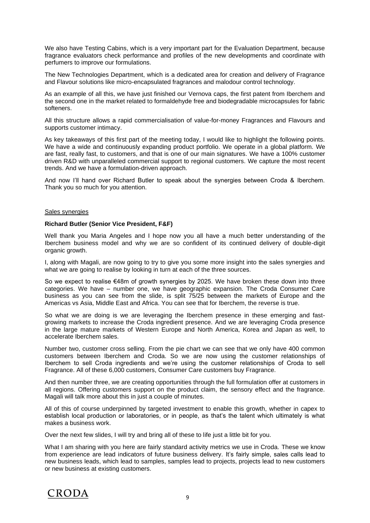We also have Testing Cabins, which is a very important part for the Evaluation Department, because fragrance evaluators check performance and profiles of the new developments and coordinate with perfumers to improve our formulations.

The New Technologies Department, which is a dedicated area for creation and delivery of Fragrance and Flavour solutions like micro-encapsulated fragrances and malodour control technology.

As an example of all this, we have just finished our Vernova caps, the first patent from Iberchem and the second one in the market related to formaldehyde free and biodegradable microcapsules for fabric softeners.

All this structure allows a rapid commercialisation of value-for-money Fragrances and Flavours and supports customer intimacy.

As key takeaways of this first part of the meeting today, I would like to highlight the following points. We have a wide and continuously expanding product portfolio. We operate in a global platform. We are fast, really fast, to customers, and that is one of our main signatures. We have a 100% customer driven R&D with unparalleled commercial support to regional customers. We capture the most recent trends. And we have a formulation-driven approach.

And now I'll hand over Richard Butler to speak about the synergies between Croda & Iberchem. Thank you so much for you attention.

## Sales synergies

#### **Richard Butler (Senior Vice President, F&F)**

Well thank you Maria Angeles and I hope now you all have a much better understanding of the Iberchem business model and why we are so confident of its continued delivery of double-digit organic growth.

I, along with Magali, are now going to try to give you some more insight into the sales synergies and what we are going to realise by looking in turn at each of the three sources.

So we expect to realise €48m of growth synergies by 2025. We have broken these down into three categories. We have – number one, we have geographic expansion. The Croda Consumer Care business as you can see from the slide, is split 75/25 between the markets of Europe and the Americas vs Asia, Middle East and Africa. You can see that for Iberchem, the reverse is true.

So what we are doing is we are leveraging the Iberchem presence in these emerging and fastgrowing markets to increase the Croda ingredient presence. And we are leveraging Croda presence in the large mature markets of Western Europe and North America, Korea and Japan as well, to accelerate Iberchem sales.

Number two, customer cross selling. From the pie chart we can see that we only have 400 common customers between Iberchem and Croda. So we are now using the customer relationships of Iberchem to sell Croda ingredients and we're using the customer relationships of Croda to sell Fragrance. All of these 6,000 customers, Consumer Care customers buy Fragrance.

And then number three, we are creating opportunities through the full formulation offer at customers in all regions. Offering customers support on the product claim, the sensory effect and the fragrance. Magali will talk more about this in just a couple of minutes.

All of this of course underpinned by targeted investment to enable this growth, whether in capex to establish local production or laboratories, or in people, as that's the talent which ultimately is what makes a business work.

Over the next few slides, I will try and bring all of these to life just a little bit for you.

What I am sharing with you here are fairly standard activity metrics we use in Croda. These we know from experience are lead indicators of future business delivery. It's fairly simple, sales calls lead to new business leads, which lead to samples, samples lead to projects, projects lead to new customers or new business at existing customers.

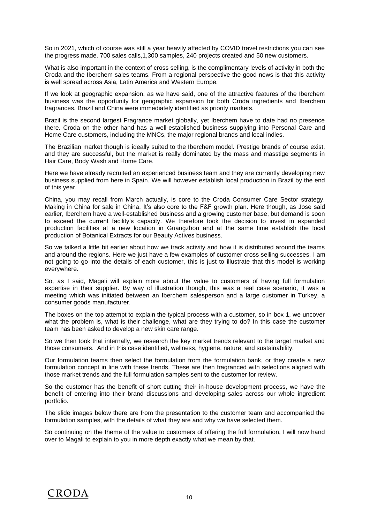So in 2021, which of course was still a year heavily affected by COVID travel restrictions you can see the progress made. 700 sales calls,1,300 samples, 240 projects created and 50 new customers.

What is also important in the context of cross selling, is the complimentary levels of activity in both the Croda and the Iberchem sales teams. From a regional perspective the good news is that this activity is well spread across Asia, Latin America and Western Europe.

If we look at geographic expansion, as we have said, one of the attractive features of the Iberchem business was the opportunity for geographic expansion for both Croda ingredients and Iberchem fragrances. Brazil and China were immediately identified as priority markets.

Brazil is the second largest Fragrance market globally, yet Iberchem have to date had no presence there. Croda on the other hand has a well-established business supplying into Personal Care and Home Care customers, including the MNCs, the major regional brands and local indies.

The Brazilian market though is ideally suited to the Iberchem model. Prestige brands of course exist, and they are successful, but the market is really dominated by the mass and masstige segments in Hair Care, Body Wash and Home Care.

Here we have already recruited an experienced business team and they are currently developing new business supplied from here in Spain. We will however establish local production in Brazil by the end of this year.

China, you may recall from March actually, is core to the Croda Consumer Care Sector strategy. Making in China for sale in China. It's also core to the F&F growth plan. Here though, as Jose said earlier, Iberchem have a well-established business and a growing customer base, but demand is soon to exceed the current facility's capacity. We therefore took the decision to invest in expanded production facilities at a new location in Guangzhou and at the same time establish the local production of Botanical Extracts for our Beauty Actives business.

So we talked a little bit earlier about how we track activity and how it is distributed around the teams and around the regions. Here we just have a few examples of customer cross selling successes. I am not going to go into the details of each customer, this is just to illustrate that this model is working everywhere.

So, as I said, Magali will explain more about the value to customers of having full formulation expertise in their supplier. By way of illustration though, this was a real case scenario, it was a meeting which was initiated between an Iberchem salesperson and a large customer in Turkey, a consumer goods manufacturer.

The boxes on the top attempt to explain the typical process with a customer, so in box 1, we uncover what the problem is, what is their challenge, what are they trying to do? In this case the customer team has been asked to develop a new skin care range.

So we then took that internally, we research the key market trends relevant to the target market and those consumers. And in this case identified, wellness, hygiene, nature, and sustainability.

Our formulation teams then select the formulation from the formulation bank, or they create a new formulation concept in line with these trends. These are then fragranced with selections aligned with those market trends and the full formulation samples sent to the customer for review.

So the customer has the benefit of short cutting their in-house development process, we have the benefit of entering into their brand discussions and developing sales across our whole ingredient portfolio.

The slide images below there are from the presentation to the customer team and accompanied the formulation samples, with the details of what they are and why we have selected them.

So continuing on the theme of the value to customers of offering the full formulation, I will now hand over to Magali to explain to you in more depth exactly what we mean by that.

## CRODA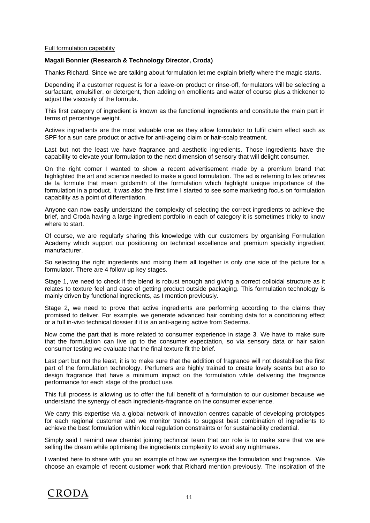## Full formulation capability

## **Magali Bonnier (Research & Technology Director, Croda)**

Thanks Richard. Since we are talking about formulation let me explain briefly where the magic starts.

Depending if a customer request is for a leave-on product or rinse-off, formulators will be selecting a surfactant, emulsifier, or detergent, then adding on emollients and water of course plus a thickener to adjust the viscosity of the formula.

This first category of ingredient is known as the functional ingredients and constitute the main part in terms of percentage weight.

Actives ingredients are the most valuable one as they allow formulator to fulfil claim effect such as SPF for a sun care product or active for anti-ageing claim or hair-scalp treatment.

Last but not the least we have fragrance and aesthetic ingredients. Those ingredients have the capability to elevate your formulation to the next dimension of sensory that will delight consumer.

On the right corner I wanted to show a recent advertisement made by a premium brand that highlighted the art and science needed to make a good formulation. The ad is referring to les orfevres de la formule that mean goldsmith of the formulation which highlight unique importance of the formulation in a product. It was also the first time I started to see some marketing focus on formulation capability as a point of differentiation.

Anyone can now easily understand the complexity of selecting the correct ingredients to achieve the brief, and Croda having a large ingredient portfolio in each of category it is sometimes tricky to know where to start.

Of course, we are regularly sharing this knowledge with our customers by organising Formulation Academy which support our positioning on technical excellence and premium specialty ingredient manufacturer.

So selecting the right ingredients and mixing them all together is only one side of the picture for a formulator. There are 4 follow up key stages.

Stage 1, we need to check if the blend is robust enough and giving a correct colloidal structure as it relates to texture feel and ease of getting product outside packaging. This formulation technology is mainly driven by functional ingredients, as I mention previously.

Stage 2, we need to prove that active ingredients are performing according to the claims they promised to deliver. For example, we generate advanced hair combing data for a conditioning effect or a full in-vivo technical dossier if it is an anti-ageing active from Sederma.

Now come the part that is more related to consumer experience in stage 3. We have to make sure that the formulation can live up to the consumer expectation, so via sensory data or hair salon consumer testing we evaluate that the final texture fit the brief.

Last part but not the least, it is to make sure that the addition of fragrance will not destabilise the first part of the formulation technology. Perfumers are highly trained to create lovely scents but also to design fragrance that have a minimum impact on the formulation while delivering the fragrance performance for each stage of the product use.

This full process is allowing us to offer the full benefit of a formulation to our customer because we understand the synergy of each ingredients-fragrance on the consumer experience.

We carry this expertise via a global network of innovation centres capable of developing prototypes for each regional customer and we monitor trends to suggest best combination of ingredients to achieve the best formulation within local regulation constraints or for sustainability credential.

Simply said I remind new chemist joining technical team that our role is to make sure that we are selling the dream while optimising the ingredients complexity to avoid any nightmares.

I wanted here to share with you an example of how we synergise the formulation and fragrance. We choose an example of recent customer work that Richard mention previously. The inspiration of the

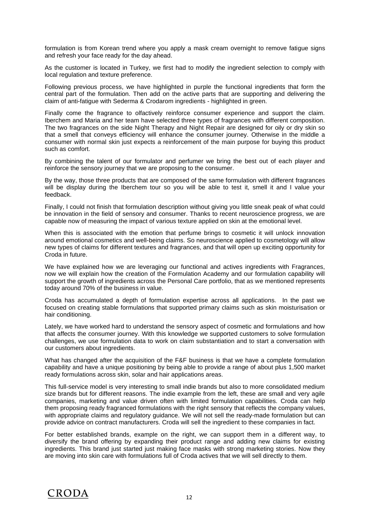formulation is from Korean trend where you apply a mask cream overnight to remove fatigue signs and refresh your face ready for the day ahead.

As the customer is located in Turkey, we first had to modify the ingredient selection to comply with local regulation and texture preference.

Following previous process, we have highlighted in purple the functional ingredients that form the central part of the formulation. Then add on the active parts that are supporting and delivering the claim of anti-fatigue with Sederma & Crodarom ingredients - highlighted in green.

Finally come the fragrance to olfactively reinforce consumer experience and support the claim. Iberchem and Maria and her team have selected three types of fragrances with different composition. The two fragrances on the side Night Therapy and Night Repair are designed for oily or dry skin so that a smell that conveys efficiency will enhance the consumer journey. Otherwise in the middle a consumer with normal skin just expects a reinforcement of the main purpose for buying this product such as comfort.

By combining the talent of our formulator and perfumer we bring the best out of each player and reinforce the sensory journey that we are proposing to the consumer.

By the way, those three products that are composed of the same formulation with different fragrances will be display during the Iberchem tour so you will be able to test it, smell it and I value your feedback.

Finally, I could not finish that formulation description without giving you little sneak peak of what could be innovation in the field of sensory and consumer. Thanks to recent neuroscience progress, we are capable now of measuring the impact of various texture applied on skin at the emotional level.

When this is associated with the emotion that perfume brings to cosmetic it will unlock innovation around emotional cosmetics and well-being claims. So neuroscience applied to cosmetology will allow new types of claims for different textures and fragrances, and that will open up exciting opportunity for Croda in future.

We have explained how we are leveraging our functional and actives ingredients with Fragrances, now we will explain how the creation of the Formulation Academy and our formulation capability will support the growth of ingredients across the Personal Care portfolio, that as we mentioned represents today around 70% of the business in value.

Croda has accumulated a depth of formulation expertise across all applications. In the past we focused on creating stable formulations that supported primary claims such as skin moisturisation or hair conditioning.

Lately, we have worked hard to understand the sensory aspect of cosmetic and formulations and how that affects the consumer journey. With this knowledge we supported customers to solve formulation challenges, we use formulation data to work on claim substantiation and to start a conversation with our customers about ingredients.

What has changed after the acquisition of the F&F business is that we have a complete formulation capability and have a unique positioning by being able to provide a range of about plus 1,500 market ready formulations across skin, solar and hair applications areas.

This full-service model is very interesting to small indie brands but also to more consolidated medium size brands but for different reasons. The indie example from the left, these are small and very agile companies, marketing and value driven often with limited formulation capabilities. Croda can help them proposing ready fragranced formulations with the right sensory that reflects the company values, with appropriate claims and regulatory guidance. We will not sell the ready-made formulation but can provide advice on contract manufacturers. Croda will sell the ingredient to these companies in fact.

For better established brands, example on the right, we can support them in a different way, to diversify the brand offering by expanding their product range and adding new claims for existing ingredients. This brand just started just making face masks with strong marketing stories. Now they are moving into skin care with formulations full of Croda actives that we will sell directly to them.

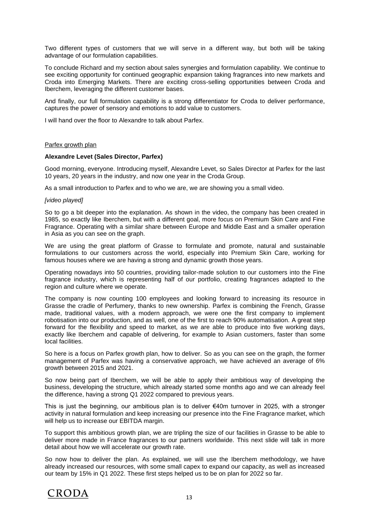Two different types of customers that we will serve in a different way, but both will be taking advantage of our formulation capabilities.

To conclude Richard and my section about sales synergies and formulation capability. We continue to see exciting opportunity for continued geographic expansion taking fragrances into new markets and Croda into Emerging Markets. There are exciting cross-selling opportunities between Croda and Iberchem, leveraging the different customer bases.

And finally, our full formulation capability is a strong differentiator for Croda to deliver performance, captures the power of sensory and emotions to add value to customers.

I will hand over the floor to Alexandre to talk about Parfex.

#### Parfex growth plan

#### **Alexandre Levet (Sales Director, Parfex)**

Good morning, everyone. Introducing myself, Alexandre Levet, so Sales Director at Parfex for the last 10 years, 20 years in the industry, and now one year in the Croda Group.

As a small introduction to Parfex and to who we are, we are showing you a small video.

#### *[video played]*

So to go a bit deeper into the explanation. As shown in the video, the company has been created in 1985, so exactly like Iberchem, but with a different goal, more focus on Premium Skin Care and Fine Fragrance. Operating with a similar share between Europe and Middle East and a smaller operation in Asia as you can see on the graph.

We are using the great platform of Grasse to formulate and promote, natural and sustainable formulations to our customers across the world, especially into Premium Skin Care, working for famous houses where we are having a strong and dynamic growth those years.

Operating nowadays into 50 countries, providing tailor-made solution to our customers into the Fine fragrance industry, which is representing half of our portfolio, creating fragrances adapted to the region and culture where we operate.

The company is now counting 100 employees and looking forward to increasing its resource in Grasse the cradle of Perfumery, thanks to new ownership. Parfex is combining the French, Grasse made, traditional values, with a modern approach, we were one the first company to implement robotisation into our production, and as well, one of the first to reach 90% automatisation. A great step forward for the flexibility and speed to market, as we are able to produce into five working days, exactly like Iberchem and capable of delivering, for example to Asian customers, faster than some local facilities.

So here is a focus on Parfex growth plan, how to deliver. So as you can see on the graph, the former management of Parfex was having a conservative approach, we have achieved an average of 6% growth between 2015 and 2021.

So now being part of Iberchem, we will be able to apply their ambitious way of developing the business, developing the structure, which already started some months ago and we can already feel the difference, having a strong Q1 2022 compared to previous years.

This is just the beginning, our ambitious plan is to deliver €40m turnover in 2025, with a stronger activity in natural formulation and keep increasing our presence into the Fine Fragrance market, which will help us to increase our EBITDA margin.

To support this ambitious growth plan, we are tripling the size of our facilities in Grasse to be able to deliver more made in France fragrances to our partners worldwide. This next slide will talk in more detail about how we will accelerate our growth rate.

So now how to deliver the plan. As explained, we will use the Iberchem methodology, we have already increased our resources, with some small capex to expand our capacity, as well as increased our team by 15% in Q1 2022. These first steps helped us to be on plan for 2022 so far.

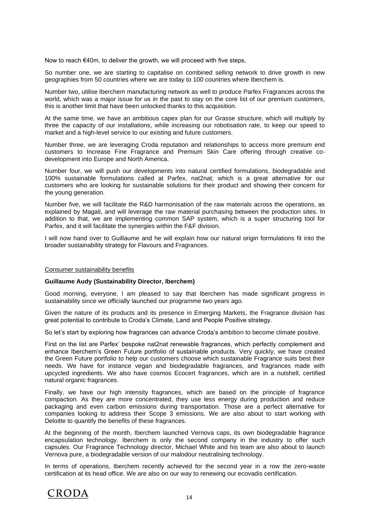Now to reach €40m, to deliver the growth, we will proceed with five steps,

So number one, we are starting to capitalise on combined selling network to drive growth in new geographies from 50 countries where we are today to 100 countries where Iberchem is.

Number two, utilise Iberchem manufacturing network as well to produce Parfex Fragrances across the world, which was a major issue for us in the past to stay on the core list of our premium customers, this is another limit that have been unlocked thanks to this acquisition.

At the same time, we have an ambitious capex plan for our Grasse structure, which will multiply by three the capacity of our installations, while increasing our robotisation rate, to keep our speed to market and a high-level service to our existing and future customers.

Number three, we are leveraging Croda reputation and relationships to access more premium end customers to Increase Fine Fragrance and Premium Skin Care offering through creative codevelopment into Europe and North America.

Number four, we will push our developments into natural certified formulations, biodegradable and 100% sustainable formulations called at Parfex, nat2nat; which is a great alternative for our customers who are looking for sustainable solutions for their product and showing their concern for the young generation.

Number five, we will facilitate the R&D harmonisation of the raw materials across the operations, as explained by Magali, and will leverage the raw material purchasing between the production sites. In addition to that, we are implementing common SAP system, which is a super structuring tool for Parfex, and it will facilitate the synergies within the F&F division.

I will now hand over to Guillaume and he will explain how our natural origin formulations fit into the broader sustainability strategy for Flavours and Fragrances.

#### Consumer sustainability benefits

## **Guillaume Audy (Sustainability Director, Iberchem)**

Good morning, everyone, I am pleased to say that Iberchem has made significant progress in sustainability since we officially launched our programme two years ago.

Given the nature of its products and its presence in Emerging Markets, the Fragrance division has great potential to contribute to Croda's Climate, Land and People Positive strategy.

So let's start by exploring how fragrances can advance Croda's ambition to become climate positive.

First on the list are Parfex' bespoke nat2nat renewable fragrances, which perfectly complement and enhance Iberchem's Green Future portfolio of sustainable products. Very quickly, we have created the Green Future portfolio to help our customers choose which sustainable Fragrance suits best their needs. We have for instance vegan and biodegradable fragrances, and fragrances made with upcycled ingredients. We also have cosmos Ecocert fragrances, which are in a nutshell, certified natural organic fragrances.

Finally, we have our high intensity fragrances, which are based on the principle of fragrance compaction. As they are more concentrated, they use less energy during production and reduce packaging and even carbon emissions during transportation. Those are a perfect alternative for companies looking to address their Scope 3 emissions. We are also about to start working with Deloitte to quantify the benefits of these fragrances.

At the beginning of the month, Iberchem launched Vernova caps, its own biodegradable fragrance encapsulation technology. Iberchem is only the second company in the industry to offer such capsules. Our Fragrance Technology director, Michael White and his team are also about to launch Vernova pure, a biodegradable version of our malodour neutralising technology.

In terms of operations, Iberchem recently achieved for the second year in a row the zero-waste certification at its head office. We are also on our way to renewing our ecovadis certification.

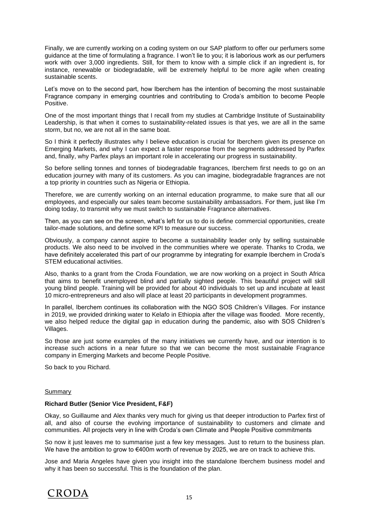Finally, we are currently working on a coding system on our SAP platform to offer our perfumers some guidance at the time of formulating a fragrance. I won't lie to you; it is laborious work as our perfumers work with over 3,000 ingredients. Still, for them to know with a simple click if an ingredient is, for instance, renewable or biodegradable, will be extremely helpful to be more agile when creating sustainable scents.

Let's move on to the second part, how Iberchem has the intention of becoming the most sustainable Fragrance company in emerging countries and contributing to Croda's ambition to become People Positive.

One of the most important things that I recall from my studies at Cambridge Institute of Sustainability Leadership, is that when it comes to sustainability-related issues is that yes, we are all in the same storm, but no, we are not all in the same boat.

So I think it perfectly illustrates why I believe education is crucial for Iberchem given its presence on Emerging Markets, and why I can expect a faster response from the segments addressed by Parfex and, finally, why Parfex plays an important role in accelerating our progress in sustainability.

So before selling tonnes and tonnes of biodegradable fragrances, Iberchem first needs to go on an education journey with many of its customers. As you can imagine, biodegradable fragrances are not a top priority in countries such as Nigeria or Ethiopia.

Therefore, we are currently working on an internal education programme, to make sure that all our employees, and especially our sales team become sustainability ambassadors. For them, just like I'm doing today, to transmit why we must switch to sustainable Fragrance alternatives.

Then, as you can see on the screen, what's left for us to do is define commercial opportunities, create tailor-made solutions, and define some KPI to measure our success.

Obviously, a company cannot aspire to become a sustainability leader only by selling sustainable products. We also need to be involved in the communities where we operate. Thanks to Croda, we have definitely accelerated this part of our programme by integrating for example Iberchem in Croda's STEM educational activities.

Also, thanks to a grant from the Croda Foundation, we are now working on a project in South Africa that aims to benefit unemployed blind and partially sighted people. This beautiful project will skill young blind people. Training will be provided for about 40 individuals to set up and incubate at least 10 micro-entrepreneurs and also will place at least 20 participants in development programmes.

In parallel, Iberchem continues its collaboration with the NGO SOS Children's Villages. For instance in 2019, we provided drinking water to Kelafo in Ethiopia after the village was flooded. More recently, we also helped reduce the digital gap in education during the pandemic, also with SOS Children's Villages.

So those are just some examples of the many initiatives we currently have, and our intention is to increase such actions in a near future so that we can become the most sustainable Fragrance company in Emerging Markets and become People Positive.

So back to you Richard.

## Summary

## **Richard Butler (Senior Vice President, F&F)**

Okay, so Guillaume and Alex thanks very much for giving us that deeper introduction to Parfex first of all, and also of course the evolving importance of sustainability to customers and climate and communities. All projects very in line with Croda's own Climate and People Positive commitments

So now it just leaves me to summarise just a few key messages. Just to return to the business plan. We have the ambition to grow to €400m worth of revenue by 2025, we are on track to achieve this.

Jose and Maria Angeles have given you insight into the standalone Iberchem business model and why it has been so successful. This is the foundation of the plan.

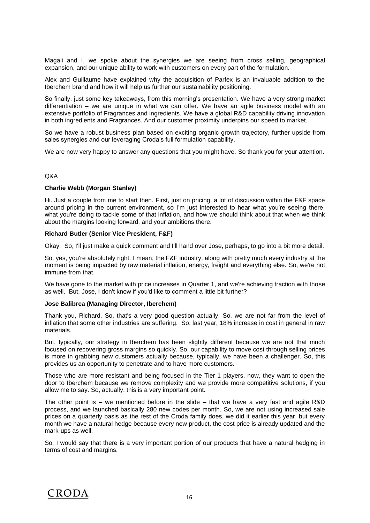Magali and I, we spoke about the synergies we are seeing from cross selling, geographical expansion, and our unique ability to work with customers on every part of the formulation.

Alex and Guillaume have explained why the acquisition of Parfex is an invaluable addition to the Iberchem brand and how it will help us further our sustainability positioning.

So finally, just some key takeaways, from this morning's presentation. We have a very strong market differentiation – we are unique in what we can offer. We have an agile business model with an extensive portfolio of Fragrances and ingredients. We have a global R&D capability driving innovation in both ingredients and Fragrances. And our customer proximity underpins our speed to market.

So we have a robust business plan based on exciting organic growth trajectory, further upside from sales synergies and our leveraging Croda's full formulation capability.

We are now very happy to answer any questions that you might have. So thank you for your attention.

## Q&A

## **Charlie Webb (Morgan Stanley)**

Hi. Just a couple from me to start then. First, just on pricing, a lot of discussion within the F&F space around pricing in the current environment, so I'm just interested to hear what you're seeing there, what you're doing to tackle some of that inflation, and how we should think about that when we think about the margins looking forward, and your ambitions there.

#### **Richard Butler (Senior Vice President, F&F)**

Okay. So, I'll just make a quick comment and I'll hand over Jose, perhaps, to go into a bit more detail.

So, yes, you're absolutely right. I mean, the F&F industry, along with pretty much every industry at the moment is being impacted by raw material inflation, energy, freight and everything else. So, we're not immune from that.

We have gone to the market with price increases in Quarter 1, and we're achieving traction with those as well. But, Jose, I don't know if you'd like to comment a little bit further?

#### **Jose Balibrea (Managing Director, Iberchem)**

Thank you, Richard. So, that's a very good question actually. So, we are not far from the level of inflation that some other industries are suffering. So, last year, 18% increase in cost in general in raw materials.

But, typically, our strategy in Iberchem has been slightly different because we are not that much focused on recovering gross margins so quickly. So, our capability to move cost through selling prices is more in grabbing new customers actually because, typically, we have been a challenger. So, this provides us an opportunity to penetrate and to have more customers.

Those who are more resistant and being focused in the Tier 1 players, now, they want to open the door to Iberchem because we remove complexity and we provide more competitive solutions, if you allow me to say. So, actually, this is a very important point.

The other point is – we mentioned before in the slide – that we have a very fast and agile  $R&D$ process, and we launched basically 280 new codes per month. So, we are not using increased sale prices on a quarterly basis as the rest of the Croda family does, we did it earlier this year, but every month we have a natural hedge because every new product, the cost price is already updated and the mark-ups as well.

So, I would say that there is a very important portion of our products that have a natural hedging in terms of cost and margins.

## CRODA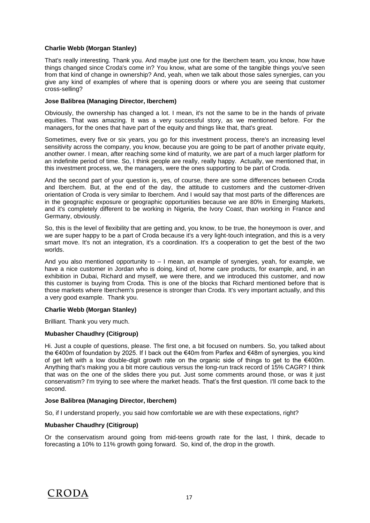## **Charlie Webb (Morgan Stanley)**

That's really interesting. Thank you. And maybe just one for the Iberchem team, you know, how have things changed since Croda's come in? You know, what are some of the tangible things you've seen from that kind of change in ownership? And, yeah, when we talk about those sales synergies, can you give any kind of examples of where that is opening doors or where you are seeing that customer cross-selling?

## **Jose Balibrea (Managing Director, Iberchem)**

Obviously, the ownership has changed a lot. I mean, it's not the same to be in the hands of private equities. That was amazing. It was a very successful story, as we mentioned before. For the managers, for the ones that have part of the equity and things like that, that's great.

Sometimes, every five or six years, you go for this investment process, there's an increasing level sensitivity across the company, you know, because you are going to be part of another private equity, another owner. I mean, after reaching some kind of maturity, we are part of a much larger platform for an indefinite period of time. So, I think people are really, really happy. Actually, we mentioned that, in this investment process, we, the managers, were the ones supporting to be part of Croda.

And the second part of your question is, yes, of course, there are some differences between Croda and Iberchem. But, at the end of the day, the attitude to customers and the customer-driven orientation of Croda is very similar to Iberchem. And I would say that most parts of the differences are in the geographic exposure or geographic opportunities because we are 80% in Emerging Markets, and it's completely different to be working in Nigeria, the Ivory Coast, than working in France and Germany, obviously.

So, this is the level of flexibility that are getting and, you know, to be true, the honeymoon is over, and we are super happy to be a part of Croda because it's a very light-touch integration, and this is a very smart move. It's not an integration, it's a coordination. It's a cooperation to get the best of the two worlds.

And you also mentioned opportunity to – I mean, an example of synergies, yeah, for example, we have a nice customer in Jordan who is doing, kind of, home care products, for example, and, in an exhibition in Dubai, Richard and myself, we were there, and we introduced this customer, and now this customer is buying from Croda. This is one of the blocks that Richard mentioned before that is those markets where Iberchem's presence is stronger than Croda. It's very important actually, and this a very good example. Thank you.

## **Charlie Webb (Morgan Stanley)**

Brilliant. Thank you very much.

## **Mubasher Chaudhry (Citigroup)**

Hi. Just a couple of questions, please. The first one, a bit focused on numbers. So, you talked about the €400m of foundation by 2025. If I back out the €40m from Parfex and €48m of synergies, you kind of get left with a low double-digit growth rate on the organic side of things to get to the €400m. Anything that's making you a bit more cautious versus the long-run track record of 15% CAGR? I think that was on the one of the slides there you put. Just some comments around those, or was it just conservatism? I'm trying to see where the market heads. That's the first question. I'll come back to the second.

## **Jose Balibrea (Managing Director, Iberchem)**

So, if I understand properly, you said how comfortable we are with these expectations, right?

## **Mubasher Chaudhry (Citigroup)**

Or the conservatism around going from mid-teens growth rate for the last, I think, decade to forecasting a 10% to 11% growth going forward. So, kind of, the drop in the growth.

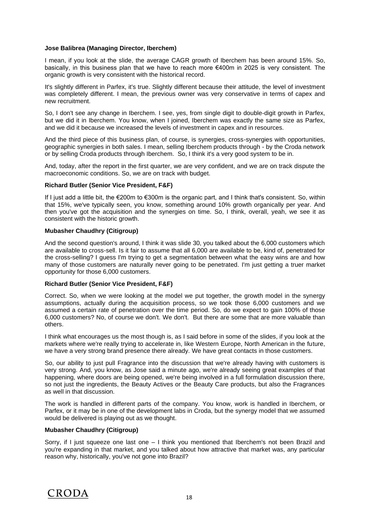## **Jose Balibrea (Managing Director, Iberchem)**

I mean, if you look at the slide, the average CAGR growth of Iberchem has been around 15%. So, basically, in this business plan that we have to reach more €400m in 2025 is very consistent. The organic growth is very consistent with the historical record.

It's slightly different in Parfex, it's true. Slightly different because their attitude, the level of investment was completely different. I mean, the previous owner was very conservative in terms of capex and new recruitment.

So, I don't see any change in Iberchem. I see, yes, from single digit to double-digit growth in Parfex, but we did it in Iberchem. You know, when I joined, Iberchem was exactly the same size as Parfex, and we did it because we increased the levels of investment in capex and in resources.

And the third piece of this business plan, of course, is synergies, cross-synergies with opportunities, geographic synergies in both sales. I mean, selling Iberchem products through - by the Croda network or by selling Croda products through Iberchem. So, I think it's a very good system to be in.

And, today, after the report in the first quarter, we are very confident, and we are on track dispute the macroeconomic conditions. So, we are on track with budget.

## **Richard Butler (Senior Vice President, F&F)**

If I just add a little bit, the €200m to €300m is the organic part, and I think that's consistent. So, within that 15%, we've typically seen, you know, something around 10% growth organically per year. And then you've got the acquisition and the synergies on time. So, I think, overall, yeah, we see it as consistent with the historic growth.

## **Mubasher Chaudhry (Citigroup)**

And the second question's around, I think it was slide 30, you talked about the 6,000 customers which are available to cross-sell. Is it fair to assume that all 6,000 are available to be, kind of, penetrated for the cross-selling? I guess I'm trying to get a segmentation between what the easy wins are and how many of those customers are naturally never going to be penetrated. I'm just getting a truer market opportunity for those 6,000 customers.

## **Richard Butler (Senior Vice President, F&F)**

Correct. So, when we were looking at the model we put together, the growth model in the synergy assumptions, actually during the acquisition process, so we took those 6,000 customers and we assumed a certain rate of penetration over the time period. So, do we expect to gain 100% of those 6,000 customers? No, of course we don't. We don't. But there are some that are more valuable than others.

I think what encourages us the most though is, as I said before in some of the slides, if you look at the markets where we're really trying to accelerate in, like Western Europe, North American in the future, we have a very strong brand presence there already. We have great contacts in those customers.

So, our ability to just pull Fragrance into the discussion that we're already having with customers is very strong. And, you know, as Jose said a minute ago, we're already seeing great examples of that happening, where doors are being opened, we're being involved in a full formulation discussion there, so not just the ingredients, the Beauty Actives or the Beauty Care products, but also the Fragrances as well in that discussion.

The work is handled in different parts of the company. You know, work is handled in Iberchem, or Parfex, or it may be in one of the development labs in Croda, but the synergy model that we assumed would be delivered is playing out as we thought.

## **Mubasher Chaudhry (Citigroup)**

Sorry, if I just squeeze one last one – I think you mentioned that Iberchem's not been Brazil and you're expanding in that market, and you talked about how attractive that market was, any particular reason why, historically, you've not gone into Brazil?

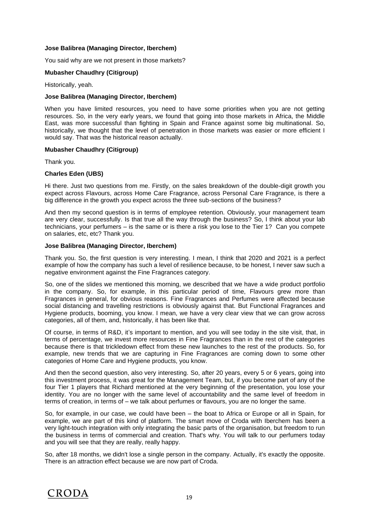## **Jose Balibrea (Managing Director, Iberchem)**

You said why are we not present in those markets?

## **Mubasher Chaudhry (Citigroup)**

Historically, yeah.

#### **Jose Balibrea (Managing Director, Iberchem)**

When you have limited resources, you need to have some priorities when you are not getting resources. So, in the very early years, we found that going into those markets in Africa, the Middle East, was more successful than fighting in Spain and France against some big multinational. So, historically, we thought that the level of penetration in those markets was easier or more efficient I would say. That was the historical reason actually.

#### **Mubasher Chaudhry (Citigroup)**

Thank you.

## **Charles Eden (UBS)**

Hi there. Just two questions from me. Firstly, on the sales breakdown of the double-digit growth you expect across Flavours, across Home Care Fragrance, across Personal Care Fragrance, is there a big difference in the growth you expect across the three sub-sections of the business?

And then my second question is in terms of employee retention. Obviously, your management team are very clear, successfully. Is that true all the way through the business? So, I think about your lab technicians, your perfumers – is the same or is there a risk you lose to the Tier 1? Can you compete on salaries, etc, etc? Thank you.

#### **Jose Balibrea (Managing Director, Iberchem)**

Thank you. So, the first question is very interesting. I mean, I think that 2020 and 2021 is a perfect example of how the company has such a level of resilience because, to be honest, I never saw such a negative environment against the Fine Fragrances category.

So, one of the slides we mentioned this morning, we described that we have a wide product portfolio in the company. So, for example, in this particular period of time, Flavours grew more than Fragrances in general, for obvious reasons. Fine Fragrances and Perfumes were affected because social distancing and travelling restrictions is obviously against that. But Functional Fragrances and Hygiene products, booming, you know. I mean, we have a very clear view that we can grow across categories, all of them, and, historically, it has been like that.

Of course, in terms of R&D, it's important to mention, and you will see today in the site visit, that, in terms of percentage, we invest more resources in Fine Fragrances than in the rest of the categories because there is that trickledown effect from these new launches to the rest of the products. So, for example, new trends that we are capturing in Fine Fragrances are coming down to some other categories of Home Care and Hygiene products, you know.

And then the second question, also very interesting. So, after 20 years, every 5 or 6 years, going into this investment process, it was great for the Management Team, but, if you become part of any of the four Tier 1 players that Richard mentioned at the very beginning of the presentation, you lose your identity. You are no longer with the same level of accountability and the same level of freedom in terms of creation, in terms of – we talk about perfumes or flavours, you are no longer the same.

So, for example, in our case, we could have been – the boat to Africa or Europe or all in Spain, for example, we are part of this kind of platform. The smart move of Croda with Iberchem has been a very light-touch integration with only integrating the basic parts of the organisation, but freedom to run the business in terms of commercial and creation. That's why. You will talk to our perfumers today and you will see that they are really, really happy.

So, after 18 months, we didn't lose a single person in the company. Actually, it's exactly the opposite. There is an attraction effect because we are now part of Croda.

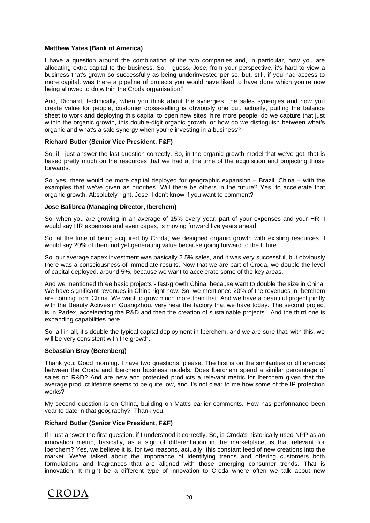## **Matthew Yates (Bank of America)**

I have a question around the combination of the two companies and, in particular, how you are allocating extra capital to the business. So, I guess, Jose, from your perspective, it's hard to view a business that's grown so successfully as being underinvested per se, but, still, if you had access to more capital, was there a pipeline of projects you would have liked to have done which you're now being allowed to do within the Croda organisation?

And, Richard, technically, when you think about the synergies, the sales synergies and how you create value for people, customer cross-selling is obviously one but, actually, putting the balance sheet to work and deploying this capital to open new sites, hire more people, do we capture that just within the organic growth, this double-digit organic growth, or how do we distinguish between what's organic and what's a sale synergy when you're investing in a business?

## **Richard Butler (Senior Vice President, F&F)**

So, if I just answer the last question correctly. So, in the organic growth model that we've got, that is based pretty much on the resources that we had at the time of the acquisition and projecting those forwards.

So, yes, there would be more capital deployed for geographic expansion – Brazil, China – with the examples that we've given as priorities. Will there be others in the future? Yes, to accelerate that organic growth. Absolutely right. Jose, I don't know if you want to comment?

## **Jose Balibrea (Managing Director, Iberchem)**

So, when you are growing in an average of 15% every year, part of your expenses and your HR, I would say HR expenses and even capex, is moving forward five years ahead.

So, at the time of being acquired by Croda, we designed organic growth with existing resources. I would say 20% of them not yet generating value because going forward to the future.

So, our average capex investment was basically 2.5% sales, and it was very successful, but obviously there was a consciousness of immediate results. Now that we are part of Croda, we double the level of capital deployed, around 5%, because we want to accelerate some of the key areas.

And we mentioned three basic projects - fast-growth China, because want to double the size in China. We have significant revenues in China right now. So, we mentioned 20% of the revenues in Iberchem are coming from China. We want to grow much more than that. And we have a beautiful project jointly with the Beauty Actives in Guangzhou, very near the factory that we have today. The second project is in Parfex, accelerating the R&D and then the creation of sustainable projects. And the third one is expanding capabilities here.

So, all in all, it's double the typical capital deployment in Iberchem, and we are sure that, with this, we will be very consistent with the growth.

## **Sebastian Bray (Berenberg)**

Thank you. Good morning. I have two questions, please. The first is on the similarities or differences between the Croda and Iberchem business models. Does Iberchem spend a similar percentage of sales on R&D? And are new and protected products a relevant metric for Iberchem given that the average product lifetime seems to be quite low, and it's not clear to me how some of the IP protection works?

My second question is on China, building on Matt's earlier comments. How has performance been year to date in that geography? Thank you.

## **Richard Butler (Senior Vice President, F&F)**

If I just answer the first question, if I understood it correctly. So, is Croda's historically used NPP as an innovation metric, basically, as a sign of differentiation in the marketplace, is that relevant for Iberchem? Yes, we believe it is, for two reasons, actually: this constant feed of new creations into the market. We've talked about the importance of identifying trends and offering customers both formulations and fragrances that are aligned with those emerging consumer trends. That is innovation. It might be a different type of innovation to Croda where often we talk about new

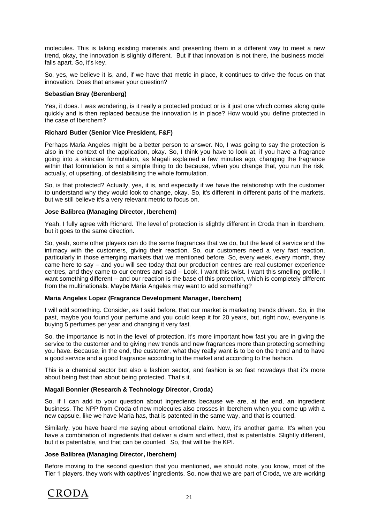molecules. This is taking existing materials and presenting them in a different way to meet a new trend, okay, the innovation is slightly different. But if that innovation is not there, the business model falls apart. So, it's key.

So, yes, we believe it is, and, if we have that metric in place, it continues to drive the focus on that innovation. Does that answer your question?

## **Sebastian Bray (Berenberg)**

Yes, it does. I was wondering, is it really a protected product or is it just one which comes along quite quickly and is then replaced because the innovation is in place? How would you define protected in the case of Iberchem?

## **Richard Butler (Senior Vice President, F&F)**

Perhaps Maria Angeles might be a better person to answer. No, I was going to say the protection is also in the context of the application, okay. So, I think you have to look at, if you have a fragrance going into a skincare formulation, as Magali explained a few minutes ago, changing the fragrance within that formulation is not a simple thing to do because, when you change that, you run the risk, actually, of upsetting, of destabilising the whole formulation.

So, is that protected? Actually, yes, it is, and especially if we have the relationship with the customer to understand why they would look to change, okay. So, it's different in different parts of the markets, but we still believe it's a very relevant metric to focus on.

## **Jose Balibrea (Managing Director, Iberchem)**

Yeah, I fully agree with Richard. The level of protection is slightly different in Croda than in Iberchem, but it goes to the same direction.

So, yeah, some other players can do the same fragrances that we do, but the level of service and the intimacy with the customers, giving their reaction. So, our customers need a very fast reaction, particularly in those emerging markets that we mentioned before. So, every week, every month, they came here to say – and you will see today that our production centres are real customer experience centres, and they came to our centres and said – Look, I want this twist. I want this smelling profile. I want something different – and our reaction is the base of this protection, which is completely different from the multinationals. Maybe Maria Angeles may want to add something?

## **Maria Angeles Lopez (Fragrance Development Manager, Iberchem)**

I will add something. Consider, as I said before, that our market is marketing trends driven. So, in the past, maybe you found your perfume and you could keep it for 20 years, but, right now, everyone is buying 5 perfumes per year and changing it very fast.

So, the importance is not in the level of protection, it's more important how fast you are in giving the service to the customer and to giving new trends and new fragrances more than protecting something you have. Because, in the end, the customer, what they really want is to be on the trend and to have a good service and a good fragrance according to the market and according to the fashion.

This is a chemical sector but also a fashion sector, and fashion is so fast nowadays that it's more about being fast than about being protected. That's it.

## **Magali Bonnier (Research & Technology Director, Croda)**

So, if I can add to your question about ingredients because we are, at the end, an ingredient business. The NPP from Croda of new molecules also crosses in Iberchem when you come up with a new capsule, like we have Maria has, that is patented in the same way, and that is counted.

Similarly, you have heard me saying about emotional claim. Now, it's another game. It's when you have a combination of ingredients that deliver a claim and effect, that is patentable. Slightly different, but it is patentable, and that can be counted. So, that will be the KPI.

## **Jose Balibrea (Managing Director, Iberchem)**

Before moving to the second question that you mentioned, we should note, you know, most of the Tier 1 players, they work with captives' ingredients. So, now that we are part of Croda, we are working

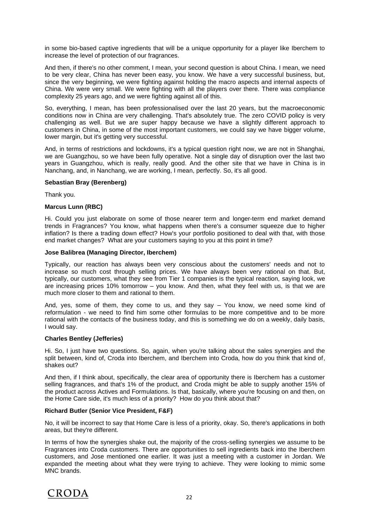in some bio-based captive ingredients that will be a unique opportunity for a player like Iberchem to increase the level of protection of our fragrances.

And then, if there's no other comment, I mean, your second question is about China. I mean, we need to be very clear, China has never been easy, you know. We have a very successful business, but, since the very beginning, we were fighting against holding the macro aspects and internal aspects of China. We were very small. We were fighting with all the players over there. There was compliance complexity 25 years ago, and we were fighting against all of this.

So, everything, I mean, has been professionalised over the last 20 years, but the macroeconomic conditions now in China are very challenging. That's absolutely true. The zero COVID policy is very challenging as well. But we are super happy because we have a slightly different approach to customers in China, in some of the most important customers, we could say we have bigger volume, lower margin, but it's getting very successful.

And, in terms of restrictions and lockdowns, it's a typical question right now, we are not in Shanghai, we are Guangzhou, so we have been fully operative. Not a single day of disruption over the last two years in Guangzhou, which is really, really good. And the other site that we have in China is in Nanchang, and, in Nanchang, we are working, I mean, perfectly. So, it's all good.

## **Sebastian Bray (Berenberg)**

Thank you.

## **Marcus Lunn (RBC)**

Hi. Could you just elaborate on some of those nearer term and longer-term end market demand trends in Fragrances? You know, what happens when there's a consumer squeeze due to higher inflation? Is there a trading down effect? How's your portfolio positioned to deal with that, with those end market changes? What are your customers saying to you at this point in time?

## **Jose Balibrea (Managing Director, Iberchem)**

Typically, our reaction has always been very conscious about the customers' needs and not to increase so much cost through selling prices. We have always been very rational on that. But, typically, our customers, what they see from Tier 1 companies is the typical reaction, saying look, we are increasing prices 10% tomorrow – you know. And then, what they feel with us, is that we are much more closer to them and rational to them.

And, yes, some of them, they come to us, and they say – You know, we need some kind of reformulation - we need to find him some other formulas to be more competitive and to be more rational with the contacts of the business today, and this is something we do on a weekly, daily basis, I would say.

## **Charles Bentley (Jefferies)**

Hi. So, I just have two questions. So, again, when you're talking about the sales synergies and the split between, kind of, Croda into Iberchem, and Iberchem into Croda, how do you think that kind of, shakes out?

And then, if I think about, specifically, the clear area of opportunity there is Iberchem has a customer selling fragrances, and that's 1% of the product, and Croda might be able to supply another 15% of the product across Actives and Formulations. Is that, basically, where you're focusing on and then, on the Home Care side, it's much less of a priority? How do you think about that?

## **Richard Butler (Senior Vice President, F&F)**

No, it will be incorrect to say that Home Care is less of a priority, okay. So, there's applications in both areas, but they're different.

In terms of how the synergies shake out, the majority of the cross-selling synergies we assume to be Fragrances into Croda customers. There are opportunities to sell ingredients back into the Iberchem customers, and Jose mentioned one earlier. It was just a meeting with a customer in Jordan. We expanded the meeting about what they were trying to achieve. They were looking to mimic some MNC brands.

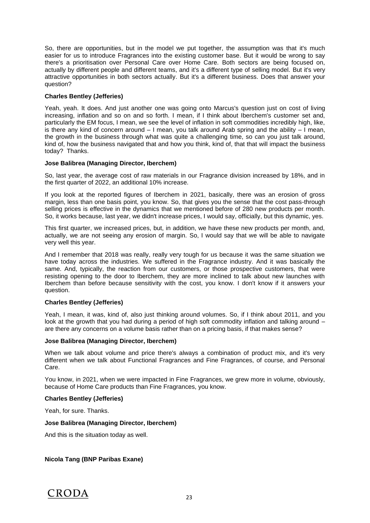So, there are opportunities, but in the model we put together, the assumption was that it's much easier for us to introduce Fragrances into the existing customer base. But it would be wrong to say there's a prioritisation over Personal Care over Home Care. Both sectors are being focused on, actually by different people and different teams, and it's a different type of selling model. But it's very attractive opportunities in both sectors actually. But it's a different business. Does that answer your question?

## **Charles Bentley (Jefferies)**

Yeah, yeah. It does. And just another one was going onto Marcus's question just on cost of living increasing, inflation and so on and so forth. I mean, if I think about Iberchem's customer set and, particularly the EM focus, I mean, we see the level of inflation in soft commodities incredibly high, like, is there any kind of concern around  $-1$  mean, you talk around Arab spring and the ability  $-1$  mean, the growth in the business through what was quite a challenging time, so can you just talk around, kind of, how the business navigated that and how you think, kind of, that that will impact the business today? Thanks.

## **Jose Balibrea (Managing Director, Iberchem)**

So, last year, the average cost of raw materials in our Fragrance division increased by 18%, and in the first quarter of 2022, an additional 10% increase.

If you look at the reported figures of Iberchem in 2021, basically, there was an erosion of gross margin, less than one basis point, you know. So, that gives you the sense that the cost pass-through selling prices is effective in the dynamics that we mentioned before of 280 new products per month. So, it works because, last year, we didn't increase prices, I would say, officially, but this dynamic, yes.

This first quarter, we increased prices, but, in addition, we have these new products per month, and, actually, we are not seeing any erosion of margin. So, I would say that we will be able to navigate very well this year.

And I remember that 2018 was really, really very tough for us because it was the same situation we have today across the industries. We suffered in the Fragrance industry. And it was basically the same. And, typically, the reaction from our customers, or those prospective customers, that were resisting opening to the door to Iberchem, they are more inclined to talk about new launches with Iberchem than before because sensitivity with the cost, you know. I don't know if it answers your question.

## **Charles Bentley (Jefferies)**

Yeah, I mean, it was, kind of, also just thinking around volumes. So, if I think about 2011, and you look at the growth that you had during a period of high soft commodity inflation and talking around – are there any concerns on a volume basis rather than on a pricing basis, if that makes sense?

## **Jose Balibrea (Managing Director, Iberchem)**

When we talk about volume and price there's always a combination of product mix, and it's very different when we talk about Functional Fragrances and Fine Fragrances, of course, and Personal Care.

You know, in 2021, when we were impacted in Fine Fragrances, we grew more in volume, obviously, because of Home Care products than Fine Fragrances, you know.

## **Charles Bentley (Jefferies)**

Yeah, for sure. Thanks.

## **Jose Balibrea (Managing Director, Iberchem)**

And this is the situation today as well.

## **Nicola Tang (BNP Paribas Exane)**

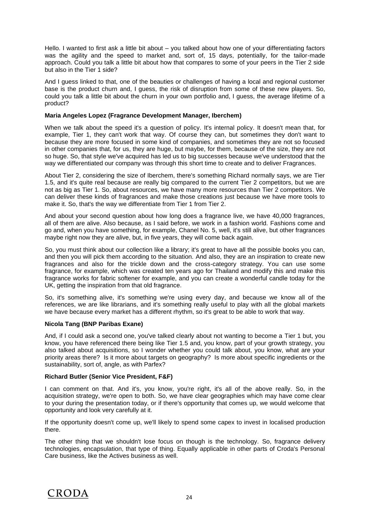Hello. I wanted to first ask a little bit about – you talked about how one of your differentiating factors was the agility and the speed to market and, sort of, 15 days, potentially, for the tailor-made approach. Could you talk a little bit about how that compares to some of your peers in the Tier 2 side but also in the Tier 1 side?

And I guess linked to that, one of the beauties or challenges of having a local and regional customer base is the product churn and, I guess, the risk of disruption from some of these new players. So, could you talk a little bit about the churn in your own portfolio and, I guess, the average lifetime of a product?

## **Maria Angeles Lopez (Fragrance Development Manager, Iberchem)**

When we talk about the speed it's a question of policy. It's internal policy. It doesn't mean that, for example, Tier 1, they can't work that way. Of course they can, but sometimes they don't want to because they are more focused in some kind of companies, and sometimes they are not so focused in other companies that, for us, they are huge, but maybe, for them, because of the size, they are not so huge. So, that style we've acquired has led us to big successes because we've understood that the way we differentiated our company was through this short time to create and to deliver Fragrances.

About Tier 2, considering the size of Iberchem, there's something Richard normally says, we are Tier 1.5, and it's quite real because are really big compared to the current Tier 2 competitors, but we are not as big as Tier 1. So, about resources, we have many more resources than Tier 2 competitors. We can deliver these kinds of fragrances and make those creations just because we have more tools to make it. So, that's the way we differentiate from Tier 1 from Tier 2.

And about your second question about how long does a fragrance live, we have 40,000 fragrances, all of them are alive. Also because, as I said before, we work in a fashion world. Fashions come and go and, when you have something, for example, Chanel No. 5, well, it's still alive, but other fragrances maybe right now they are alive, but, in five years, they will come back again.

So, you must think about our collection like a library; it's great to have all the possible books you can, and then you will pick them according to the situation. And also, they are an inspiration to create new fragrances and also for the trickle down and the cross-category strategy. You can use some fragrance, for example, which was created ten years ago for Thailand and modify this and make this fragrance works for fabric softener for example, and you can create a wonderful candle today for the UK, getting the inspiration from that old fragrance.

So, it's something alive, it's something we're using every day, and because we know all of the references, we are like librarians, and it's something really useful to play with all the global markets we have because every market has a different rhythm, so it's great to be able to work that way.

## **Nicola Tang (BNP Paribas Exane)**

And, if I could ask a second one, you've talked clearly about not wanting to become a Tier 1 but, you know, you have referenced there being like Tier 1.5 and, you know, part of your growth strategy, you also talked about acquisitions, so I wonder whether you could talk about, you know, what are your priority areas there? Is it more about targets on geography? Is more about specific ingredients or the sustainability, sort of, angle, as with Parfex?

## **Richard Butler (Senior Vice President, F&F)**

I can comment on that. And it's, you know, you're right, it's all of the above really. So, in the acquisition strategy, we're open to both. So, we have clear geographies which may have come clear to your during the presentation today, or if there's opportunity that comes up, we would welcome that opportunity and look very carefully at it.

If the opportunity doesn't come up, we'll likely to spend some capex to invest in localised production there.

The other thing that we shouldn't lose focus on though is the technology. So, fragrance delivery technologies, encapsulation, that type of thing. Equally applicable in other parts of Croda's Personal Care business, like the Actives business as well.

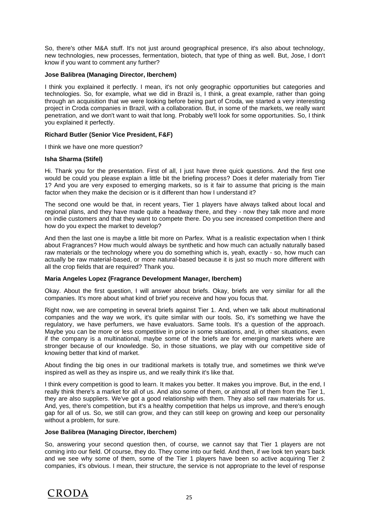So, there's other M&A stuff. It's not just around geographical presence, it's also about technology, new technologies, new processes, fermentation, biotech, that type of thing as well. But, Jose, I don't know if you want to comment any further?

## **Jose Balibrea (Managing Director, Iberchem)**

I think you explained it perfectly. I mean, it's not only geographic opportunities but categories and technologies. So, for example, what we did in Brazil is, I think, a great example, rather than going through an acquisition that we were looking before being part of Croda, we started a very interesting project in Croda companies in Brazil, with a collaboration. But, in some of the markets, we really want penetration, and we don't want to wait that long. Probably we'll look for some opportunities. So, I think you explained it perfectly.

## **Richard Butler (Senior Vice President, F&F)**

I think we have one more question?

## **Isha Sharma (Stifel)**

Hi. Thank you for the presentation. First of all, I just have three quick questions. And the first one would be could you please explain a little bit the briefing process? Does it defer materially from Tier 1? And you are very exposed to emerging markets, so is it fair to assume that pricing is the main factor when they make the decision or is it different than how I understand it?

The second one would be that, in recent years, Tier 1 players have always talked about local and regional plans, and they have made quite a headway there, and they - now they talk more and more on indie customers and that they want to compete there. Do you see increased competition there and how do you expect the market to develop?

And then the last one is maybe a little bit more on Parfex. What is a realistic expectation when I think about Fragrances? How much would always be synthetic and how much can actually naturally based raw materials or the technology where you do something which is, yeah, exactly - so, how much can actually be raw material-based, or more natural-based because it is just so much more different with all the crop fields that are required? Thank you.

## **Maria Angeles Lopez (Fragrance Development Manager, Iberchem)**

Okay. About the first question, I will answer about briefs. Okay, briefs are very similar for all the companies. It's more about what kind of brief you receive and how you focus that.

Right now, we are competing in several briefs against Tier 1. And, when we talk about multinational companies and the way we work, it's quite similar with our tools. So, it's something we have the regulatory, we have perfumers, we have evaluators. Same tools. It's a question of the approach. Maybe you can be more or less competitive in price in some situations, and, in other situations, even if the company is a multinational, maybe some of the briefs are for emerging markets where are stronger because of our knowledge. So, in those situations, we play with our competitive side of knowing better that kind of market.

About finding the big ones in our traditional markets is totally true, and sometimes we think we've inspired as well as they as inspire us, and we really think it's like that.

I think every competition is good to learn. It makes you better. It makes you improve. But, in the end, I really think there's a market for all of us. And also some of them, or almost all of them from the Tier 1, they are also suppliers. We've got a good relationship with them. They also sell raw materials for us. And, yes, there's competition, but it's a healthy competition that helps us improve, and there's enough gap for all of us. So, we still can grow, and they can still keep on growing and keep our personality without a problem, for sure.

## **Jose Balibrea (Managing Director, Iberchem)**

So, answering your second question then, of course, we cannot say that Tier 1 players are not coming into our field. Of course, they do. They come into our field. And then, if we look ten years back and we see why some of them, some of the Tier 1 players have been so active acquiring Tier 2 companies, it's obvious. I mean, their structure, the service is not appropriate to the level of response

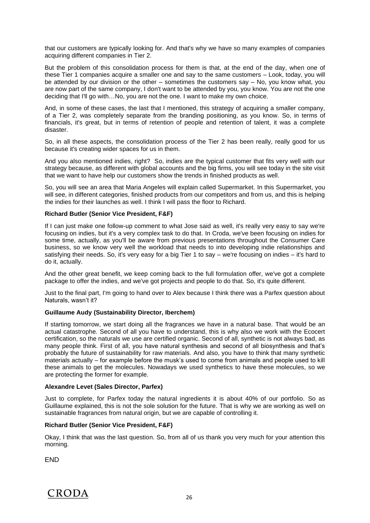that our customers are typically looking for. And that's why we have so many examples of companies acquiring different companies in Tier 2.

But the problem of this consolidation process for them is that, at the end of the day, when one of these Tier 1 companies acquire a smaller one and say to the same customers – Look, today, you will be attended by our division or the other – sometimes the customers say – No, you know what, you are now part of the same company, I don't want to be attended by you, you know. You are not the one deciding that I'll go with…No, you are not the one. I want to make my own choice.

And, in some of these cases, the last that I mentioned, this strategy of acquiring a smaller company, of a Tier 2, was completely separate from the branding positioning, as you know. So, in terms of financials, it's great, but in terms of retention of people and retention of talent, it was a complete disaster.

So, in all these aspects, the consolidation process of the Tier 2 has been really, really good for us because it's creating wider spaces for us in them.

And you also mentioned indies, right? So, indies are the typical customer that fits very well with our strategy because, as different with global accounts and the big firms, you will see today in the site visit that we want to have help our customers show the trends in finished products as well.

So, you will see an area that Maria Angeles will explain called Supermarket. In this Supermarket, you will see, in different categories, finished products from our competitors and from us, and this is helping the indies for their launches as well. I think I will pass the floor to Richard.

## **Richard Butler (Senior Vice President, F&F)**

If I can just make one follow-up comment to what Jose said as well, it's really very easy to say we're focusing on indies, but it's a very complex task to do that. In Croda, we've been focusing on indies for some time, actually, as you'll be aware from previous presentations throughout the Consumer Care business, so we know very well the workload that needs to into developing indie relationships and satisfying their needs. So, it's very easy for a big Tier 1 to say – we're focusing on indies – it's hard to do it, actually.

And the other great benefit, we keep coming back to the full formulation offer, we've got a complete package to offer the indies, and we've got projects and people to do that. So, it's quite different.

Just to the final part, I'm going to hand over to Alex because I think there was a Parfex question about Naturals, wasn't it?

## **Guillaume Audy (Sustainability Director, Iberchem)**

If starting tomorrow, we start doing all the fragrances we have in a natural base. That would be an actual catastrophe. Second of all you have to understand, this is why also we work with the Ecocert certification, so the naturals we use are certified organic. Second of all, synthetic is not always bad, as many people think. First of all, you have natural synthesis and second of all biosynthesis and that's probably the future of sustainability for raw materials. And also, you have to think that many synthetic materials actually – for example before the musk's used to come from animals and people used to kill these animals to get the molecules. Nowadays we used synthetics to have these molecules, so we are protecting the former for example.

## **Alexandre Levet (Sales Director, Parfex)**

Just to complete, for Parfex today the natural ingredients it is about 40% of our portfolio. So as Guillaume explained, this is not the sole solution for the future. That is why we are working as well on sustainable fragrances from natural origin, but we are capable of controlling it.

## **Richard Butler (Senior Vice President, F&F)**

Okay, I think that was the last question. So, from all of us thank you very much for your attention this morning.

**FND**